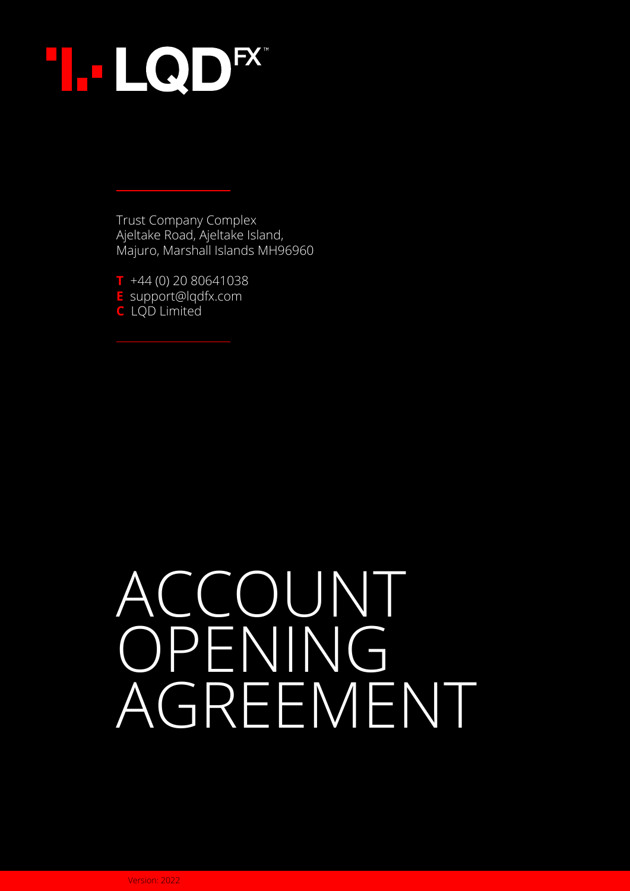

Trust Company Complex Ajeltake Road, Ajeltake Island, Majuro, Marshall Islands MH96960

**T** +44 (0) 20 80641038 **E** support@lqdfx.com **C** LQD Limited

# ACCOUNT OPENING AGREEMENT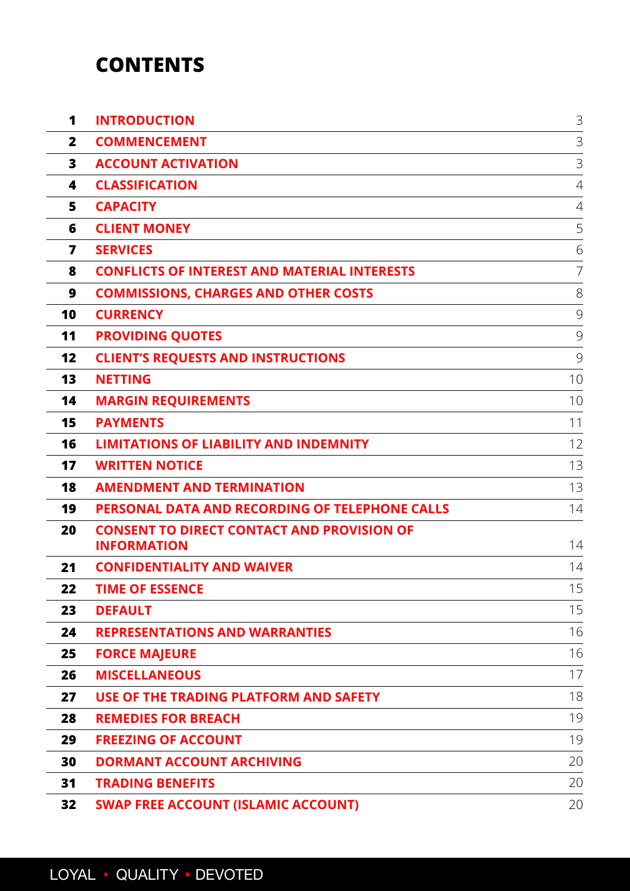## **CONTENTS**

| 1            | <b>INTRODUCTION</b>                                                     | $\mathcal{S}$  |
|--------------|-------------------------------------------------------------------------|----------------|
| $\mathbf{2}$ | <b>COMMENCEMENT</b>                                                     | 3              |
| 3            | <b>ACCOUNT ACTIVATION</b>                                               | 3              |
| 4            | <b>CLASSIFICATION</b>                                                   | $\overline{4}$ |
| 5            | <b>CAPACITY</b>                                                         | 4              |
| 6            | <b>CLIENT MONEY</b>                                                     | 5              |
| 7            | <b>SERVICES</b>                                                         | 6              |
| 8            | <b>CONFLICTS OF INTEREST AND MATERIAL INTERESTS</b>                     | 7              |
| 9            | <b>COMMISSIONS, CHARGES AND OTHER COSTS</b>                             | 8              |
| 10           | <b>CURRENCY</b>                                                         | 9              |
| 11           | <b>PROVIDING QUOTES</b>                                                 | 9              |
| 12           | <b>CLIENT'S REQUESTS AND INSTRUCTIONS</b>                               | 9              |
| 13           | <b>NETTING</b>                                                          | 10             |
| 14           | <b>MARGIN REQUIREMENTS</b>                                              | 10             |
| 15           | <b>PAYMENTS</b>                                                         | 11             |
| 16           | <b>LIMITATIONS OF LIABILITY AND INDEMNITY</b>                           | 12             |
| 17           | <b>WRITTEN NOTICE</b>                                                   | 13             |
| 18           | <b>AMENDMENT AND TERMINATION</b>                                        | 13             |
| 19           | PERSONAL DATA AND RECORDING OF TELEPHONE CALLS                          | 14             |
| 20           | <b>CONSENT TO DIRECT CONTACT AND PROVISION OF</b><br><b>INFORMATION</b> | 14             |
| 21           | <b>CONFIDENTIALITY AND WAIVER</b>                                       | 14             |
| 22           | <b>TIME OF ESSENCE</b>                                                  | 15             |
| 23           | <b>DEFAULT</b>                                                          | 15             |
| 24           | <b>REPRESENTATIONS AND WARRANTIES</b>                                   | 16             |
| 25           | <b>FORCE MAJEURE</b>                                                    | 16             |
| 26           | <b>MISCELLANEOUS</b>                                                    | 17             |
| 27           | USE OF THE TRADING PLATFORM AND SAFETY                                  | 18             |
| 28           | <b>REMEDIES FOR BREACH</b>                                              | 19             |
| 29           | <b>FREEZING OF ACCOUNT</b>                                              | 19             |
| 30           | <b>DORMANT ACCOUNT ARCHIVING</b>                                        | 20             |
| 31           | <b>TRADING BENEFITS</b>                                                 | 20             |
| 32           | <b>SWAP FREE ACCOUNT (ISLAMIC ACCOUNT)</b>                              | 20             |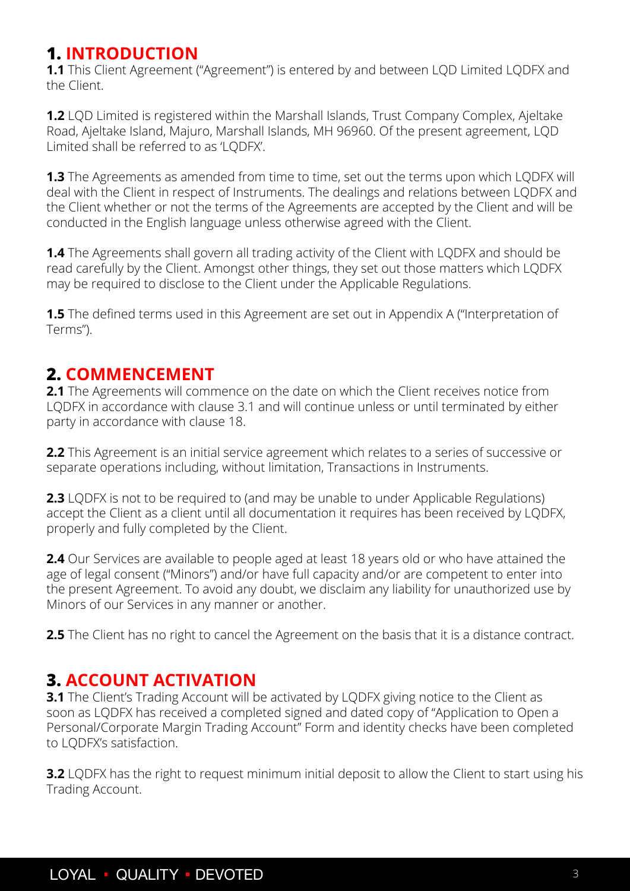## <span id="page-2-0"></span>**1. INTRODUCTION**

**1.1** This Client Agreement ("Agreement") is entered by and between LQD Limited LQDFX and the Client.

**1.2** LQD Limited is registered within the Marshall Islands, Trust Company Complex, Ajeltake Road, Ajeltake Island, Majuro, Marshall Islands, MH 96960. Of the present agreement, LQD Limited shall be referred to as 'LQDFX'.

**1.3** The Agreements as amended from time to time, set out the terms upon which LQDFX will deal with the Client in respect of Instruments. The dealings and relations between LQDFX and the Client whether or not the terms of the Agreements are accepted by the Client and will be conducted in the English language unless otherwise agreed with the Client.

**1.4** The Agreements shall govern all trading activity of the Client with LQDFX and should be read carefully by the Client. Amongst other things, they set out those matters which LQDFX may be required to disclose to the Client under the Applicable Regulations.

**1.5** The defined terms used in this Agreement are set out in Appendix A ("Interpretation of Terms").

## **2. COMMENCEMENT**

**2.1** The Agreements will commence on the date on which the Client receives notice from LQDFX in accordance with clause 3.1 and will continue unless or until terminated by either party in accordance with clause 18.

**2.2** This Agreement is an initial service agreement which relates to a series of successive or separate operations including, without limitation, Transactions in Instruments.

**2.3** LQDFX is not to be required to (and may be unable to under Applicable Regulations) accept the Client as a client until all documentation it requires has been received by LQDFX, properly and fully completed by the Client.

**2.4** Our Services are available to people aged at least 18 years old or who have attained the age of legal consent ("Minors") and/or have full capacity and/or are competent to enter into the present Agreement. To avoid any doubt, we disclaim any liability for unauthorized use by Minors of our Services in any manner or another.

2.5 The Client has no right to cancel the Agreement on the basis that it is a distance contract.

## **3. ACCOUNT ACTIVATION**

**3.1** The Client's Trading Account will be activated by LQDFX giving notice to the Client as soon as LQDFX has received a completed signed and dated copy of "Application to Open a Personal/Corporate Margin Trading Account" Form and identity checks have been completed to LQDFX's satisfaction.

**3.2** LODFX has the right to request minimum initial deposit to allow the Client to start using his Trading Account.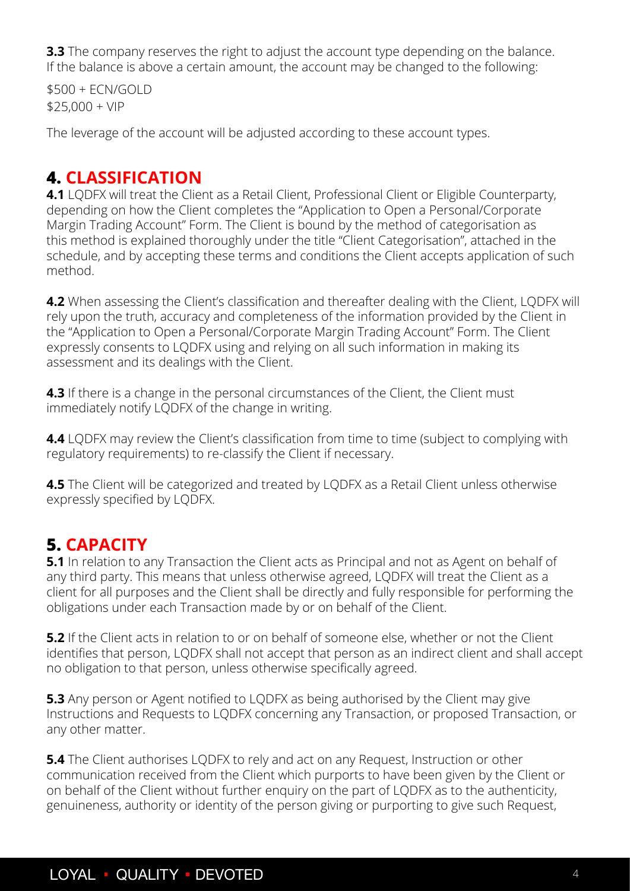<span id="page-3-0"></span>**3.3** The company reserves the right to adjust the account type depending on the balance. If the balance is above a certain amount, the account may be changed to the following:

\$500 + ECN/GOLD  $$25,000 + VIP$ 

The leverage of the account will be adjusted according to these account types.

## **4. CLASSIFICATION**

**4.1** LQDFX will treat the Client as a Retail Client, Professional Client or Eligible Counterparty, depending on how the Client completes the "Application to Open a Personal/Corporate Margin Trading Account" Form. The Client is bound by the method of categorisation as this method is explained thoroughly under the title "Client Categorisation", attached in the schedule, and by accepting these terms and conditions the Client accepts application of such method.

**4.2** When assessing the Client's classification and thereafter dealing with the Client, LQDFX will rely upon the truth, accuracy and completeness of the information provided by the Client in the "Application to Open a Personal/Corporate Margin Trading Account" Form. The Client expressly consents to LQDFX using and relying on all such information in making its assessment and its dealings with the Client.

**4.3** If there is a change in the personal circumstances of the Client, the Client must immediately notify LQDFX of the change in writing.

**4.4** LQDFX may review the Client's classification from time to time (subject to complying with regulatory requirements) to re-classify the Client if necessary.

**4.5** The Client will be categorized and treated by LODFX as a Retail Client unless otherwise expressly specified by LQDFX.

## **5. CAPACITY**

**5.1** In relation to any Transaction the Client acts as Principal and not as Agent on behalf of any third party. This means that unless otherwise agreed, LQDFX will treat the Client as a client for all purposes and the Client shall be directly and fully responsible for performing the obligations under each Transaction made by or on behalf of the Client.

**5.2** If the Client acts in relation to or on behalf of someone else, whether or not the Client identifies that person, LQDFX shall not accept that person as an indirect client and shall accept no obligation to that person, unless otherwise specifically agreed.

**5.3** Any person or Agent notified to LQDFX as being authorised by the Client may give Instructions and Requests to LQDFX concerning any Transaction, or proposed Transaction, or any other matter.

**5.4** The Client authorises LQDFX to rely and act on any Request, Instruction or other communication received from the Client which purports to have been given by the Client or on behalf of the Client without further enquiry on the part of LQDFX as to the authenticity, genuineness, authority or identity of the person giving or purporting to give such Request,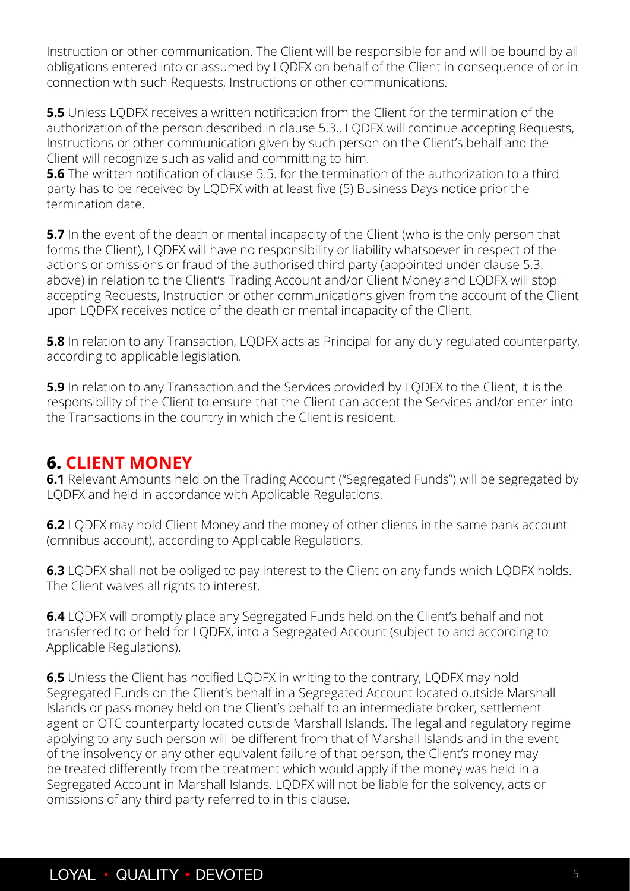<span id="page-4-0"></span>Instruction or other communication. The Client will be responsible for and will be bound by all obligations entered into or assumed by LQDFX on behalf of the Client in consequence of or in connection with such Requests, Instructions or other communications.

**5.5** Unless LODFX receives a written notification from the Client for the termination of the authorization of the person described in clause 5.3., LQDFX will continue accepting Requests, Instructions or other communication given by such person on the Client's behalf and the Client will recognize such as valid and committing to him.

**5.6** The written notification of clause 5.5. for the termination of the authorization to a third party has to be received by LQDFX with at least five (5) Business Days notice prior the termination date.

**5.7** In the event of the death or mental incapacity of the Client (who is the only person that forms the Client), LQDFX will have no responsibility or liability whatsoever in respect of the actions or omissions or fraud of the authorised third party (appointed under clause 5.3. above) in relation to the Client's Trading Account and/or Client Money and LQDFX will stop accepting Requests, Instruction or other communications given from the account of the Client upon LQDFX receives notice of the death or mental incapacity of the Client.

**5.8** In relation to any Transaction, LODFX acts as Principal for any duly regulated counterparty, according to applicable legislation.

**5.9** In relation to any Transaction and the Services provided by LQDFX to the Client, it is the responsibility of the Client to ensure that the Client can accept the Services and/or enter into the Transactions in the country in which the Client is resident.

#### **6. CLIENT MONEY**

**6.1** Relevant Amounts held on the Trading Account ("Segregated Funds") will be segregated by LQDFX and held in accordance with Applicable Regulations.

**6.2** LQDFX may hold Client Money and the money of other clients in the same bank account (omnibus account), according to Applicable Regulations.

**6.3** LQDFX shall not be obliged to pay interest to the Client on any funds which LQDFX holds. The Client waives all rights to interest.

**6.4** LQDFX will promptly place any Segregated Funds held on the Client's behalf and not transferred to or held for LQDFX, into a Segregated Account (subject to and according to Applicable Regulations).

**6.5** Unless the Client has notified LODFX in writing to the contrary, LODFX may hold Segregated Funds on the Client's behalf in a Segregated Account located outside Marshall Islands or pass money held on the Client's behalf to an intermediate broker, settlement agent or OTC counterparty located outside Marshall Islands. The legal and regulatory regime applying to any such person will be different from that of Marshall Islands and in the event of the insolvency or any other equivalent failure of that person, the Client's money may be treated differently from the treatment which would apply if the money was held in a Segregated Account in Marshall Islands. LQDFX will not be liable for the solvency, acts or omissions of any third party referred to in this clause.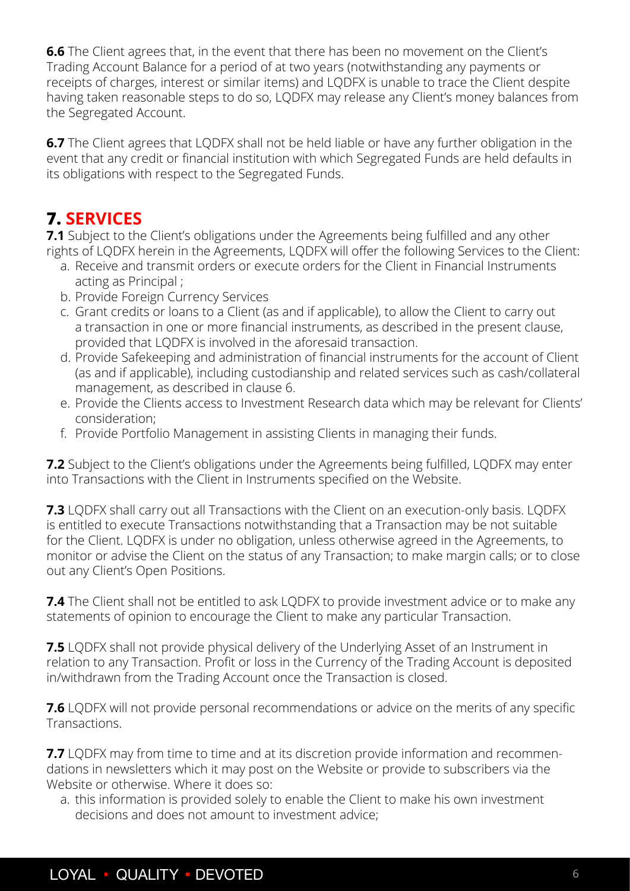<span id="page-5-0"></span>**6.6** The Client agrees that, in the event that there has been no movement on the Client's Trading Account Balance for a period of at two years (notwithstanding any payments or receipts of charges, interest or similar items) and LQDFX is unable to trace the Client despite having taken reasonable steps to do so, LQDFX may release any Client's money balances from the Segregated Account.

**6.7** The Client agrees that LQDFX shall not be held liable or have any further obligation in the event that any credit or financial institution with which Segregated Funds are held defaults in its obligations with respect to the Segregated Funds.

## **7. SERVICES**

**7.1** Subject to the Client's obligations under the Agreements being fulfilled and any other rights of LQDFX herein in the Agreements, LQDFX will offer the following Services to the Client:

- a. Receive and transmit orders or execute orders for the Client in Financial Instruments acting as Principal ;
- b. Provide Foreign Currency Services
- c. Grant credits or loans to a Client (as and if applicable), to allow the Client to carry out a transaction in one or more financial instruments, as described in the present clause, provided that LQDFX is involved in the aforesaid transaction.
- d. Provide Safekeeping and administration of financial instruments for the account of Client (as and if applicable), including custodianship and related services such as cash/collateral management, as described in clause 6.
- e. Provide the Clients access to Investment Research data which may be relevant for Clients' consideration;
- f. Provide Portfolio Management in assisting Clients in managing their funds.

**7.2** Subject to the Client's obligations under the Agreements being fulfilled, LQDFX may enter into Transactions with the Client in Instruments specified on the Website.

**7.3** LQDFX shall carry out all Transactions with the Client on an execution-only basis. LQDFX is entitled to execute Transactions notwithstanding that a Transaction may be not suitable for the Client. LQDFX is under no obligation, unless otherwise agreed in the Agreements, to monitor or advise the Client on the status of any Transaction; to make margin calls; or to close out any Client's Open Positions.

**7.4** The Client shall not be entitled to ask LODFX to provide investment advice or to make any statements of opinion to encourage the Client to make any particular Transaction.

**7.5** LQDFX shall not provide physical delivery of the Underlying Asset of an Instrument in relation to any Transaction. Profit or loss in the Currency of the Trading Account is deposited in/withdrawn from the Trading Account once the Transaction is closed.

**7.6** LQDFX will not provide personal recommendations or advice on the merits of any specific Transactions.

**7.7** LQDFX may from time to time and at its discretion provide information and recommendations in newsletters which it may post on the Website or provide to subscribers via the Website or otherwise. Where it does so:

a. this information is provided solely to enable the Client to make his own investment decisions and does not amount to investment advice;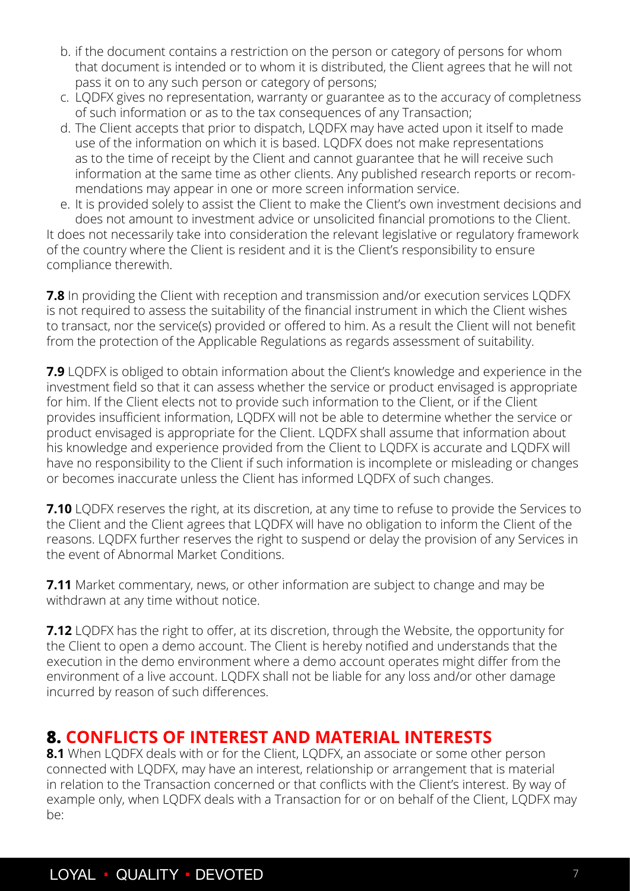- <span id="page-6-0"></span>b. if the document contains a restriction on the person or category of persons for whom that document is intended or to whom it is distributed, the Client agrees that he will not pass it on to any such person or category of persons;
- c. LQDFX gives no representation, warranty or guarantee as to the accuracy of completness of such information or as to the tax consequences of any Transaction;
- d. The Client accepts that prior to dispatch, LQDFX may have acted upon it itself to made use of the information on which it is based. LQDFX does not make representations as to the time of receipt by the Client and cannot guarantee that he will receive such information at the same time as other clients. Any published research reports or recommendations may appear in one or more screen information service.
- e. It is provided solely to assist the Client to make the Client's own investment decisions and does not amount to investment advice or unsolicited financial promotions to the Client.

It does not necessarily take into consideration the relevant legislative or regulatory framework of the country where the Client is resident and it is the Client's responsibility to ensure compliance therewith.

**7.8** In providing the Client with reception and transmission and/or execution services LODFX is not required to assess the suitability of the financial instrument in which the Client wishes to transact, nor the service(s) provided or offered to him. As a result the Client will not benefit from the protection of the Applicable Regulations as regards assessment of suitability.

**7.9** LQDFX is obliged to obtain information about the Client's knowledge and experience in the investment field so that it can assess whether the service or product envisaged is appropriate for him. If the Client elects not to provide such information to the Client, or if the Client provides insufficient information, LQDFX will not be able to determine whether the service or product envisaged is appropriate for the Client. LQDFX shall assume that information about his knowledge and experience provided from the Client to LQDFX is accurate and LQDFX will have no responsibility to the Client if such information is incomplete or misleading or changes or becomes inaccurate unless the Client has informed LQDFX of such changes.

**7.10** LQDFX reserves the right, at its discretion, at any time to refuse to provide the Services to the Client and the Client agrees that LQDFX will have no obligation to inform the Client of the reasons. LQDFX further reserves the right to suspend or delay the provision of any Services in the event of Abnormal Market Conditions.

**7.11** Market commentary, news, or other information are subject to change and may be withdrawn at any time without notice.

**7.12** LQDFX has the right to offer, at its discretion, through the Website, the opportunity for the Client to open a demo account. The Client is hereby notified and understands that the execution in the demo environment where a demo account operates might differ from the environment of a live account. LQDFX shall not be liable for any loss and/or other damage incurred by reason of such differences.

## **8. CONFLICTS OF INTEREST AND MATERIAL INTERESTS**

**8.1** When LODFX deals with or for the Client, LODFX, an associate or some other person connected with LQDFX, may have an interest, relationship or arrangement that is material in relation to the Transaction concerned or that conflicts with the Client's interest. By way of example only, when LQDFX deals with a Transaction for or on behalf of the Client, LQDFX may be: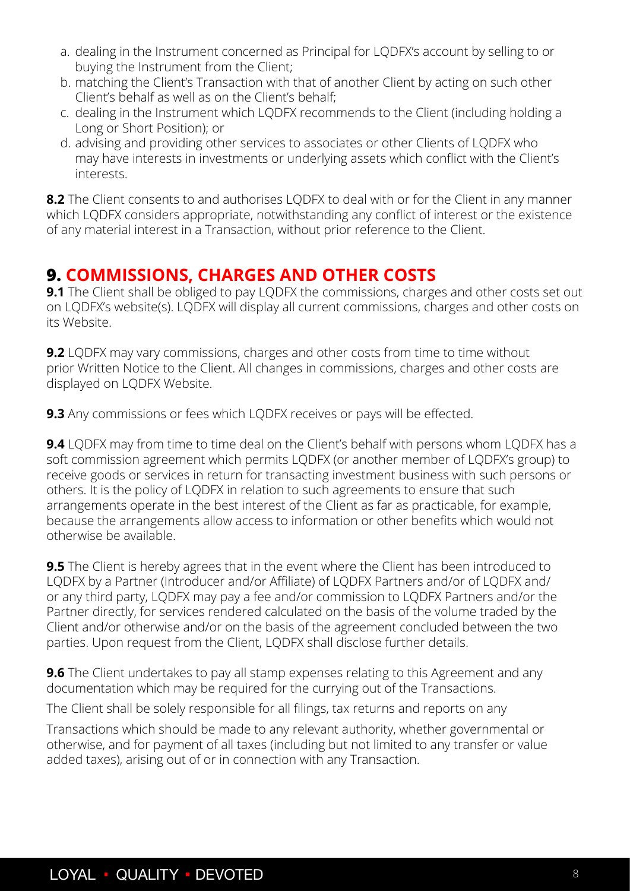- <span id="page-7-0"></span>a. dealing in the Instrument concerned as Principal for LQDFX's account by selling to or buying the Instrument from the Client;
- b. matching the Client's Transaction with that of another Client by acting on such other Client's behalf as well as on the Client's behalf;
- c. dealing in the Instrument which LQDFX recommends to the Client (including holding a Long or Short Position); or
- d. advising and providing other services to associates or other Clients of LQDFX who may have interests in investments or underlying assets which conflict with the Client's interests.

**8.2** The Client consents to and authorises LQDFX to deal with or for the Client in any manner which LQDFX considers appropriate, notwithstanding any conflict of interest or the existence of any material interest in a Transaction, without prior reference to the Client.

## **9. COMMISSIONS, CHARGES AND OTHER COSTS**

**9.1** The Client shall be obliged to pay LQDFX the commissions, charges and other costs set out on LQDFX's website(s). LQDFX will display all current commissions, charges and other costs on its Website.

**9.2** LQDFX may vary commissions, charges and other costs from time to time without prior Written Notice to the Client. All changes in commissions, charges and other costs are displayed on LQDFX Website.

**9.3** Any commissions or fees which LQDFX receives or pays will be effected.

**9.4** LQDFX may from time to time deal on the Client's behalf with persons whom LQDFX has a soft commission agreement which permits LQDFX (or another member of LQDFX's group) to receive goods or services in return for transacting investment business with such persons or others. It is the policy of LQDFX in relation to such agreements to ensure that such arrangements operate in the best interest of the Client as far as practicable, for example, because the arrangements allow access to information or other benefits which would not otherwise be available.

**9.5** The Client is hereby agrees that in the event where the Client has been introduced to LQDFX by a Partner (Introducer and/or Affiliate) of LQDFX Partners and/or of LQDFX and/ or any third party, LQDFX may pay a fee and/or commission to LQDFX Partners and/or the Partner directly, for services rendered calculated on the basis of the volume traded by the Client and/or otherwise and/or on the basis of the agreement concluded between the two parties. Upon request from the Client, LQDFX shall disclose further details.

**9.6** The Client undertakes to pay all stamp expenses relating to this Agreement and any documentation which may be required for the currying out of the Transactions.

The Client shall be solely responsible for all filings, tax returns and reports on any

Transactions which should be made to any relevant authority, whether governmental or otherwise, and for payment of all taxes (including but not limited to any transfer or value added taxes), arising out of or in connection with any Transaction.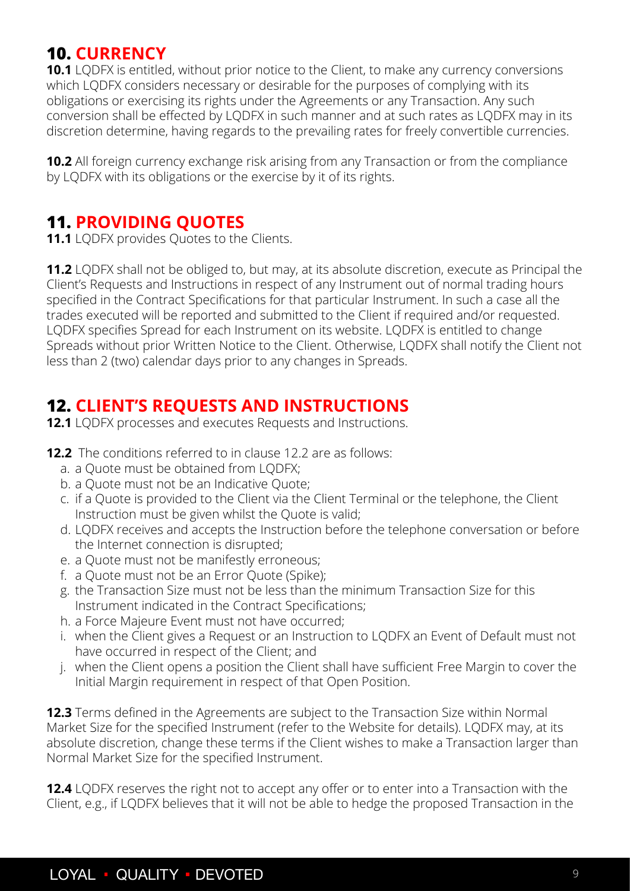## <span id="page-8-0"></span>**10. CURRENCY**

**10.1** LQDFX is entitled, without prior notice to the Client, to make any currency conversions which LQDFX considers necessary or desirable for the purposes of complying with its obligations or exercising its rights under the Agreements or any Transaction. Any such conversion shall be effected by LQDFX in such manner and at such rates as LQDFX may in its discretion determine, having regards to the prevailing rates for freely convertible currencies.

**10.2** All foreign currency exchange risk arising from any Transaction or from the compliance by LQDFX with its obligations or the exercise by it of its rights.

#### **11. PROVIDING QUOTES**

**11.1** LODFX provides Ouotes to the Clients.

**11.2** LQDFX shall not be obliged to, but may, at its absolute discretion, execute as Principal the Client's Requests and Instructions in respect of any Instrument out of normal trading hours specified in the Contract Specifications for that particular Instrument. In such a case all the trades executed will be reported and submitted to the Client if required and/or requested. LQDFX specifies Spread for each Instrument on its website. LQDFX is entitled to change Spreads without prior Written Notice to the Client. Otherwise, LQDFX shall notify the Client not less than 2 (two) calendar days prior to any changes in Spreads.

## **12. CLIENT'S REQUESTS AND INSTRUCTIONS**

- **12.1** LQDFX processes and executes Requests and Instructions.
- **12.2** The conditions referred to in clause 12.2 are as follows:
	- a. a Quote must be obtained from LQDFX;
	- b. a Quote must not be an Indicative Quote;
	- c. if a Quote is provided to the Client via the Client Terminal or the telephone, the Client Instruction must be given whilst the Quote is valid;
	- d. LQDFX receives and accepts the Instruction before the telephone conversation or before the Internet connection is disrupted;
	- e. a Quote must not be manifestly erroneous;
	- f. a Quote must not be an Error Quote (Spike);
	- g. the Transaction Size must not be less than the minimum Transaction Size for this Instrument indicated in the Contract Specifications;
	- h. a Force Majeure Event must not have occurred;
	- i. when the Client gives a Request or an Instruction to LQDFX an Event of Default must not have occurred in respect of the Client; and
	- j. when the Client opens a position the Client shall have sufficient Free Margin to cover the Initial Margin requirement in respect of that Open Position.

**12.3** Terms defined in the Agreements are subject to the Transaction Size within Normal Market Size for the specified Instrument (refer to the Website for details). LQDFX may, at its absolute discretion, change these terms if the Client wishes to make a Transaction larger than Normal Market Size for the specified Instrument.

**12.4** LQDFX reserves the right not to accept any offer or to enter into a Transaction with the Client, e.g., if LQDFX believes that it will not be able to hedge the proposed Transaction in the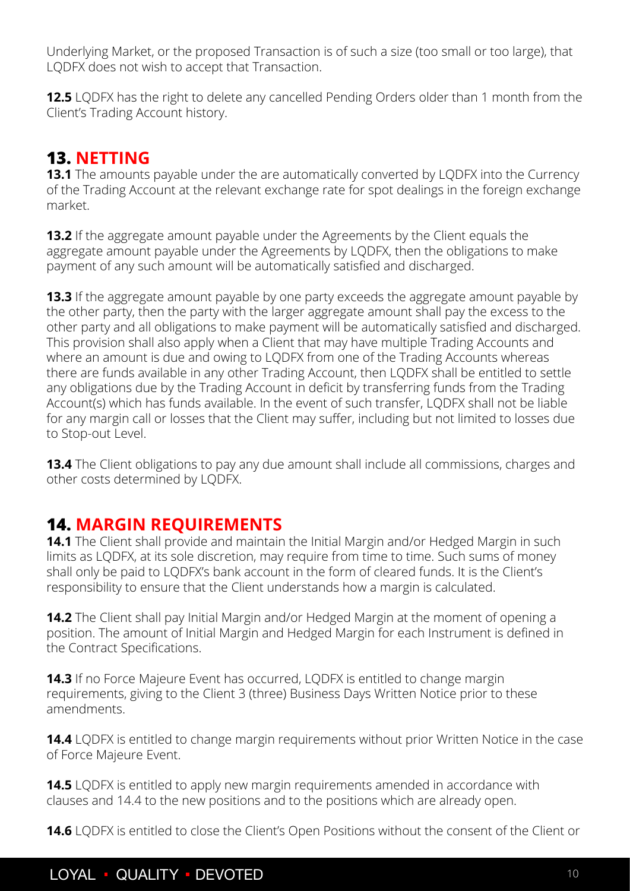<span id="page-9-0"></span>Underlying Market, or the proposed Transaction is of such a size (too small or too large), that LQDFX does not wish to accept that Transaction.

**12.5** LQDFX has the right to delete any cancelled Pending Orders older than 1 month from the Client's Trading Account history.

## **13. NETTING**

**13.1** The amounts payable under the are automatically converted by LODFX into the Currency of the Trading Account at the relevant exchange rate for spot dealings in the foreign exchange market.

**13.2** If the aggregate amount payable under the Agreements by the Client equals the aggregate amount payable under the Agreements by LQDFX, then the obligations to make payment of any such amount will be automatically satisfied and discharged.

**13.3** If the aggregate amount payable by one party exceeds the aggregate amount payable by the other party, then the party with the larger aggregate amount shall pay the excess to the other party and all obligations to make payment will be automatically satisfied and discharged. This provision shall also apply when a Client that may have multiple Trading Accounts and where an amount is due and owing to LQDFX from one of the Trading Accounts whereas there are funds available in any other Trading Account, then LQDFX shall be entitled to settle any obligations due by the Trading Account in deficit by transferring funds from the Trading Account(s) which has funds available. In the event of such transfer, LQDFX shall not be liable for any margin call or losses that the Client may suffer, including but not limited to losses due to Stop-out Level.

**13.4** The Client obligations to pay any due amount shall include all commissions, charges and other costs determined by LQDFX.

## **14. MARGIN REQUIREMENTS**

**14.1** The Client shall provide and maintain the Initial Margin and/or Hedged Margin in such limits as LQDFX, at its sole discretion, may require from time to time. Such sums of money shall only be paid to LQDFX's bank account in the form of cleared funds. It is the Client's responsibility to ensure that the Client understands how a margin is calculated.

**14.2** The Client shall pay Initial Margin and/or Hedged Margin at the moment of opening a position. The amount of Initial Margin and Hedged Margin for each Instrument is defined in the Contract Specifications.

**14.3** If no Force Majeure Event has occurred, LQDFX is entitled to change margin requirements, giving to the Client 3 (three) Business Days Written Notice prior to these amendments.

**14.4** LQDFX is entitled to change margin requirements without prior Written Notice in the case of Force Majeure Event.

**14.5** LQDFX is entitled to apply new margin requirements amended in accordance with clauses and 14.4 to the new positions and to the positions which are already open.

**14.6** LQDFX is entitled to close the Client's Open Positions without the consent of the Client or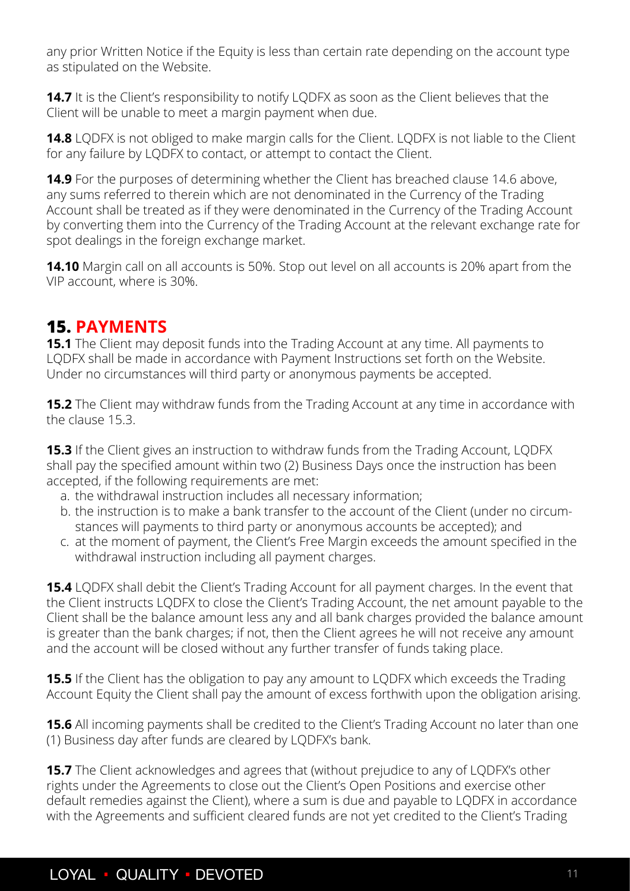<span id="page-10-0"></span>any prior Written Notice if the Equity is less than certain rate depending on the account type as stipulated on the Website.

**14.7** It is the Client's responsibility to notify LQDFX as soon as the Client believes that the Client will be unable to meet a margin payment when due.

**14.8** LQDFX is not obliged to make margin calls for the Client. LQDFX is not liable to the Client for any failure by LQDFX to contact, or attempt to contact the Client.

**14.9** For the purposes of determining whether the Client has breached clause 14.6 above, any sums referred to therein which are not denominated in the Currency of the Trading Account shall be treated as if they were denominated in the Currency of the Trading Account by converting them into the Currency of the Trading Account at the relevant exchange rate for spot dealings in the foreign exchange market.

**14.10** Margin call on all accounts is 50%. Stop out level on all accounts is 20% apart from the VIP account, where is 30%.

## **15. PAYMENTS**

**15.1** The Client may deposit funds into the Trading Account at any time. All payments to LQDFX shall be made in accordance with Payment Instructions set forth on the Website. Under no circumstances will third party or anonymous payments be accepted.

**15.2** The Client may withdraw funds from the Trading Account at any time in accordance with the clause 15.3.

**15.3** If the Client gives an instruction to withdraw funds from the Trading Account, LODFX shall pay the specified amount within two (2) Business Days once the instruction has been accepted, if the following requirements are met:

- a. the withdrawal instruction includes all necessary information;
- b. the instruction is to make a bank transfer to the account of the Client (under no circumstances will payments to third party or anonymous accounts be accepted); and
- c. at the moment of payment, the Client's Free Margin exceeds the amount specified in the withdrawal instruction including all payment charges.

**15.4** LQDFX shall debit the Client's Trading Account for all payment charges. In the event that the Client instructs LQDFX to close the Client's Trading Account, the net amount payable to the Client shall be the balance amount less any and all bank charges provided the balance amount is greater than the bank charges; if not, then the Client agrees he will not receive any amount and the account will be closed without any further transfer of funds taking place.

**15.5** If the Client has the obligation to pay any amount to LQDFX which exceeds the Trading Account Equity the Client shall pay the amount of excess forthwith upon the obligation arising.

**15.6** All incoming payments shall be credited to the Client's Trading Account no later than one (1) Business day after funds are cleared by LQDFX's bank.

**15.7** The Client acknowledges and agrees that (without prejudice to any of LQDFX's other rights under the Agreements to close out the Client's Open Positions and exercise other default remedies against the Client), where a sum is due and payable to LQDFX in accordance with the Agreements and sufficient cleared funds are not yet credited to the Client's Trading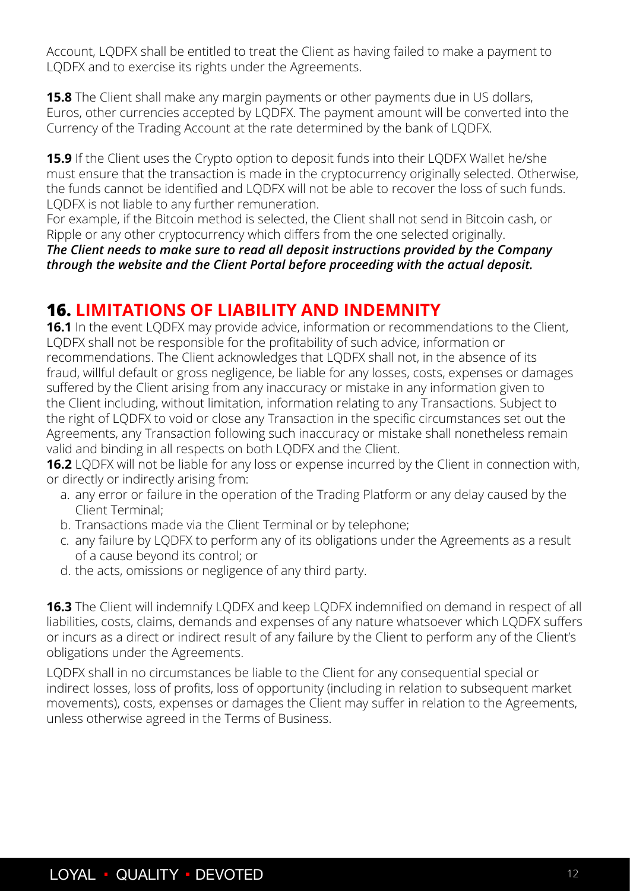<span id="page-11-0"></span>Account, LQDFX shall be entitled to treat the Client as having failed to make a payment to LQDFX and to exercise its rights under the Agreements.

**15.8** The Client shall make any margin payments or other payments due in US dollars, Euros, other currencies accepted by LQDFX. The payment amount will be converted into the Currency of the Trading Account at the rate determined by the bank of LQDFX.

**15.9** If the Client uses the Crypto option to deposit funds into their LQDFX Wallet he/she must ensure that the transaction is made in the cryptocurrency originally selected. Otherwise, the funds cannot be identified and LQDFX will not be able to recover the loss of such funds. LQDFX is not liable to any further remuneration.

For example, if the Bitcoin method is selected, the Client shall not send in Bitcoin cash, or Ripple or any other cryptocurrency which differs from the one selected originally.

*The Client needs to make sure to read all deposit instructions provided by the Company through the website and the Client Portal before proceeding with the actual deposit.*

## **16. LIMITATIONS OF LIABILITY AND INDEMNITY**

**16.1** In the event LQDFX may provide advice, information or recommendations to the Client, LQDFX shall not be responsible for the profitability of such advice, information or recommendations. The Client acknowledges that LQDFX shall not, in the absence of its fraud, willful default or gross negligence, be liable for any losses, costs, expenses or damages suffered by the Client arising from any inaccuracy or mistake in any information given to the Client including, without limitation, information relating to any Transactions. Subject to the right of LQDFX to void or close any Transaction in the specific circumstances set out the Agreements, any Transaction following such inaccuracy or mistake shall nonetheless remain valid and binding in all respects on both LQDFX and the Client.

**16.2** LQDFX will not be liable for any loss or expense incurred by the Client in connection with, or directly or indirectly arising from:

- a. any error or failure in the operation of the Trading Platform or any delay caused by the Client Terminal;
- b. Transactions made via the Client Terminal or by telephone;
- c. any failure by LQDFX to perform any of its obligations under the Agreements as a result of a cause beyond its control; or
- d. the acts, omissions or negligence of any third party.

**16.3** The Client will indemnify LQDFX and keep LQDFX indemnified on demand in respect of all liabilities, costs, claims, demands and expenses of any nature whatsoever which LQDFX suffers or incurs as a direct or indirect result of any failure by the Client to perform any of the Client's obligations under the Agreements.

LQDFX shall in no circumstances be liable to the Client for any consequential special or indirect losses, loss of profits, loss of opportunity (including in relation to subsequent market movements), costs, expenses or damages the Client may suffer in relation to the Agreements, unless otherwise agreed in the Terms of Business.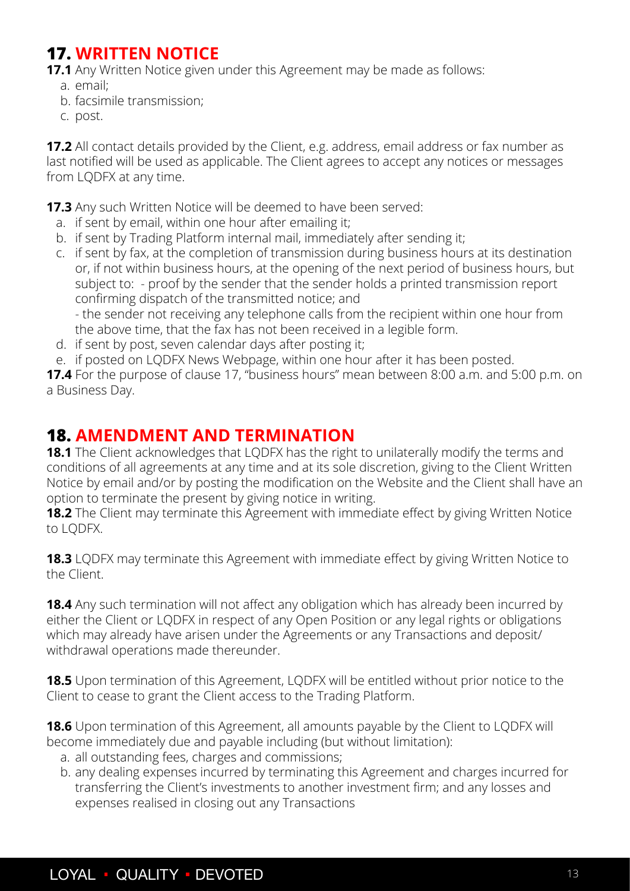## <span id="page-12-0"></span>**17. WRITTEN NOTICE**

**17.1** Any Written Notice given under this Agreement may be made as follows:

- a. email;
- b. facsimile transmission;
- c. post.

**17.2** All contact details provided by the Client, e.g. address, email address or fax number as last notified will be used as applicable. The Client agrees to accept any notices or messages from LQDFX at any time.

**17.3** Any such Written Notice will be deemed to have been served:

- a. if sent by email, within one hour after emailing it;
- b. if sent by Trading Platform internal mail, immediately after sending it;
- c. if sent by fax, at the completion of transmission during business hours at its destination or, if not within business hours, at the opening of the next period of business hours, but subject to: - proof by the sender that the sender holds a printed transmission report confirming dispatch of the transmitted notice; and

- the sender not receiving any telephone calls from the recipient within one hour from the above time, that the fax has not been received in a legible form.

- d. if sent by post, seven calendar days after posting it;
- e. if posted on LQDFX News Webpage, within one hour after it has been posted.

**17.4** For the purpose of clause 17, "business hours" mean between 8:00 a.m. and 5:00 p.m. on a Business Day.

#### **18. AMENDMENT AND TERMINATION**

**18.1** The Client acknowledges that LQDFX has the right to unilaterally modify the terms and conditions of all agreements at any time and at its sole discretion, giving to the Client Written Notice by email and/or by posting the modification on the Website and the Client shall have an option to terminate the present by giving notice in writing.

**18.2** The Client may terminate this Agreement with immediate effect by giving Written Notice to LQDFX.

**18.3** LQDFX may terminate this Agreement with immediate effect by giving Written Notice to the Client.

**18.4** Any such termination will not affect any obligation which has already been incurred by either the Client or LQDFX in respect of any Open Position or any legal rights or obligations which may already have arisen under the Agreements or any Transactions and deposit/ withdrawal operations made thereunder.

**18.5** Upon termination of this Agreement, LQDFX will be entitled without prior notice to the Client to cease to grant the Client access to the Trading Platform.

**18.6** Upon termination of this Agreement, all amounts payable by the Client to LQDFX will become immediately due and payable including (but without limitation):

- a. all outstanding fees, charges and commissions;
- b. any dealing expenses incurred by terminating this Agreement and charges incurred for transferring the Client's investments to another investment firm; and any losses and expenses realised in closing out any Transactions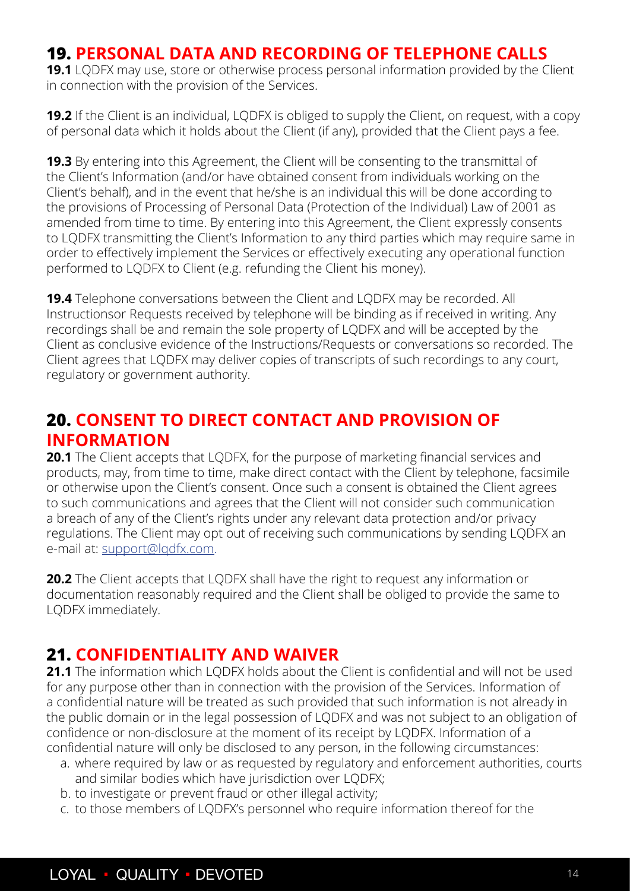## <span id="page-13-0"></span>**19. PERSONAL DATA AND RECORDING OF TELEPHONE CALLS**

**19.1** LQDFX may use, store or otherwise process personal information provided by the Client in connection with the provision of the Services.

**19.2** If the Client is an individual, LQDFX is obliged to supply the Client, on request, with a copy of personal data which it holds about the Client (if any), provided that the Client pays a fee.

**19.3** By entering into this Agreement, the Client will be consenting to the transmittal of the Client's Information (and/or have obtained consent from individuals working on the Client's behalf), and in the event that he/she is an individual this will be done according to the provisions of Processing of Personal Data (Protection of the Individual) Law of 2001 as amended from time to time. By entering into this Agreement, the Client expressly consents to LQDFX transmitting the Client's Information to any third parties which may require same in order to effectively implement the Services or effectively executing any operational function performed to LQDFX to Client (e.g. refunding the Client his money).

**19.4** Telephone conversations between the Client and LQDFX may be recorded. All Instructionsor Requests received by telephone will be binding as if received in writing. Any recordings shall be and remain the sole property of LQDFX and will be accepted by the Client as conclusive evidence of the Instructions/Requests or conversations so recorded. The Client agrees that LQDFX may deliver copies of transcripts of such recordings to any court, regulatory or government authority.

## **20. CONSENT TO DIRECT CONTACT AND PROVISION OF INFORMATION**

**20.1** The Client accepts that LQDFX, for the purpose of marketing financial services and products, may, from time to time, make direct contact with the Client by telephone, facsimile or otherwise upon the Client's consent. Once such a consent is obtained the Client agrees to such communications and agrees that the Client will not consider such communication a breach of any of the Client's rights under any relevant data protection and/or privacy regulations. The Client may opt out of receiving such communications by sending LQDFX an e-mail at: support@lqdfx.com.

**20.2** The Client accepts that LQDFX shall have the right to request any information or documentation reasonably required and the Client shall be obliged to provide the same to LQDFX immediately.

#### **21. CONFIDENTIALITY AND WAIVER**

**21.1** The information which LODFX holds about the Client is confidential and will not be used for any purpose other than in connection with the provision of the Services. Information of a confidential nature will be treated as such provided that such information is not already in the public domain or in the legal possession of LQDFX and was not subject to an obligation of confidence or non-disclosure at the moment of its receipt by LQDFX. Information of a confidential nature will only be disclosed to any person, in the following circumstances:

- a. where required by law or as requested by regulatory and enforcement authorities, courts and similar bodies which have jurisdiction over LQDFX;
- b. to investigate or prevent fraud or other illegal activity;
- c. to those members of LQDFX's personnel who require information thereof for the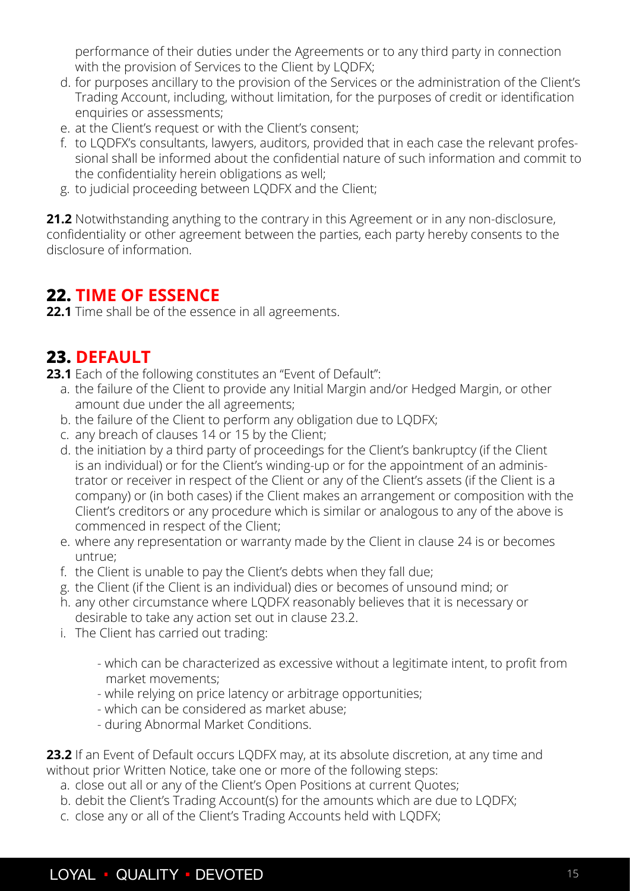<span id="page-14-0"></span>performance of their duties under the Agreements or to any third party in connection with the provision of Services to the Client by LODFX;

- d. for purposes ancillary to the provision of the Services or the administration of the Client's Trading Account, including, without limitation, for the purposes of credit or identification enquiries or assessments;
- e. at the Client's request or with the Client's consent;
- f. to LQDFX's consultants, lawyers, auditors, provided that in each case the relevant professional shall be informed about the confidential nature of such information and commit to the confidentiality herein obligations as well;
- g. to judicial proceeding between LQDFX and the Client;

**21.2** Notwithstanding anything to the contrary in this Agreement or in any non-disclosure, confidentiality or other agreement between the parties, each party hereby consents to the disclosure of information.

## **22. TIME OF ESSENCE**

**22.1** Time shall be of the essence in all agreements.

## **23. DEFAULT**

**23.1** Each of the following constitutes an "Event of Default":

- a. the failure of the Client to provide any Initial Margin and/or Hedged Margin, or other amount due under the all agreements;
- b. the failure of the Client to perform any obligation due to LQDFX;
- c. any breach of clauses 14 or 15 by the Client;
- d. the initiation by a third party of proceedings for the Client's bankruptcy (if the Client is an individual) or for the Client's winding-up or for the appointment of an administrator or receiver in respect of the Client or any of the Client's assets (if the Client is a company) or (in both cases) if the Client makes an arrangement or composition with the Client's creditors or any procedure which is similar or analogous to any of the above is commenced in respect of the Client;
- e. where any representation or warranty made by the Client in clause 24 is or becomes untrue;
- f. the Client is unable to pay the Client's debts when they fall due;
- g. the Client (if the Client is an individual) dies or becomes of unsound mind; or
- h. any other circumstance where LQDFX reasonably believes that it is necessary or desirable to take any action set out in clause 23.2.
- i. The Client has carried out trading:
	- which can be characterized as excessive without a legitimate intent, to profit from market movements;
	- while relying on price latency or arbitrage opportunities;
	- which can be considered as market abuse;
	- during Abnormal Market Conditions.

23.2 If an Event of Default occurs LQDFX may, at its absolute discretion, at any time and without prior Written Notice, take one or more of the following steps:

- a. close out all or any of the Client's Open Positions at current Quotes;
- b. debit the Client's Trading Account(s) for the amounts which are due to LQDFX;
- c. close any or all of the Client's Trading Accounts held with LQDFX;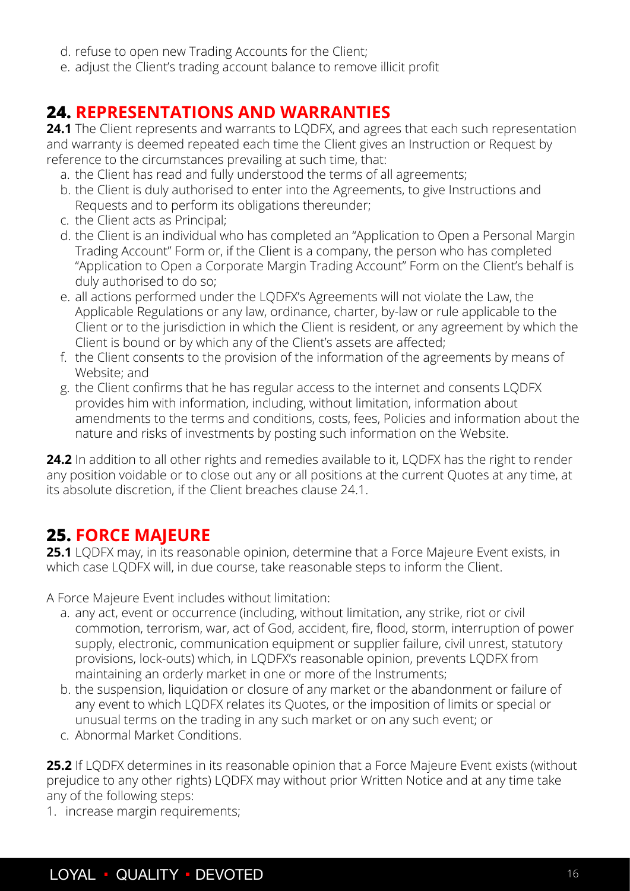- <span id="page-15-0"></span>d. refuse to open new Trading Accounts for the Client;
- e. adjust the Client's trading account balance to remove illicit profit

## **24. REPRESENTATIONS AND WARRANTIES**

24.1 The Client represents and warrants to LQDFX, and agrees that each such representation and warranty is deemed repeated each time the Client gives an Instruction or Request by reference to the circumstances prevailing at such time, that:

- a. the Client has read and fully understood the terms of all agreements;
- b. the Client is duly authorised to enter into the Agreements, to give Instructions and Requests and to perform its obligations thereunder;
- c. the Client acts as Principal;
- d. the Client is an individual who has completed an "Application to Open a Personal Margin Trading Account" Form or, if the Client is a company, the person who has completed "Application to Open a Corporate Margin Trading Account" Form on the Client's behalf is duly authorised to do so;
- e. all actions performed under the LQDFX's Agreements will not violate the Law, the Applicable Regulations or any law, ordinance, charter, by-law or rule applicable to the Client or to the jurisdiction in which the Client is resident, or any agreement by which the Client is bound or by which any of the Client's assets are affected;
- f. the Client consents to the provision of the information of the agreements by means of Website; and
- g. the Client confirms that he has regular access to the internet and consents LQDFX provides him with information, including, without limitation, information about amendments to the terms and conditions, costs, fees, Policies and information about the nature and risks of investments by posting such information on the Website.

24.2 In addition to all other rights and remedies available to it, LODFX has the right to render any position voidable or to close out any or all positions at the current Quotes at any time, at its absolute discretion, if the Client breaches clause 24.1.

## **25. FORCE MAJEURE**

**25.1** LQDFX may, in its reasonable opinion, determine that a Force Majeure Event exists, in which case LQDFX will, in due course, take reasonable steps to inform the Client.

A Force Majeure Event includes without limitation:

- a. any act, event or occurrence (including, without limitation, any strike, riot or civil commotion, terrorism, war, act of God, accident, fire, flood, storm, interruption of power supply, electronic, communication equipment or supplier failure, civil unrest, statutory provisions, lock-outs) which, in LQDFX's reasonable opinion, prevents LQDFX from maintaining an orderly market in one or more of the Instruments;
- b. the suspension, liquidation or closure of any market or the abandonment or failure of any event to which LQDFX relates its Quotes, or the imposition of limits or special or unusual terms on the trading in any such market or on any such event; or
- c. Abnormal Market Conditions.

**25.2** If LQDFX determines in its reasonable opinion that a Force Majeure Event exists (without prejudice to any other rights) LQDFX may without prior Written Notice and at any time take any of the following steps:

1. increase margin requirements;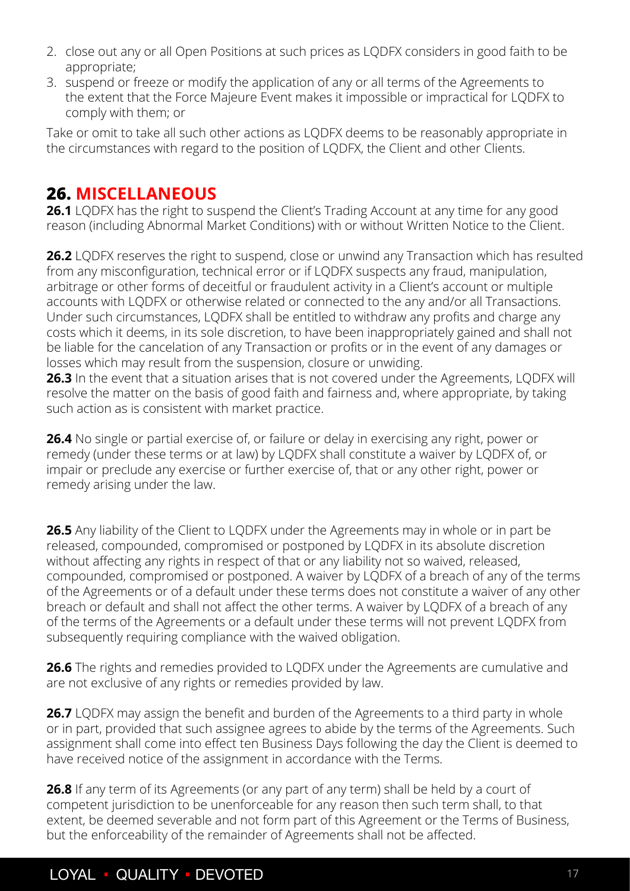- <span id="page-16-0"></span>2. close out any or all Open Positions at such prices as LQDFX considers in good faith to be appropriate;
- 3. suspend or freeze or modify the application of any or all terms of the Agreements to the extent that the Force Majeure Event makes it impossible or impractical for LQDFX to comply with them; or

Take or omit to take all such other actions as LQDFX deems to be reasonably appropriate in the circumstances with regard to the position of LQDFX, the Client and other Clients.

## **26. MISCELLANEOUS**

**26.1** LQDFX has the right to suspend the Client's Trading Account at any time for any good reason (including Abnormal Market Conditions) with or without Written Notice to the Client.

**26.2** LQDFX reserves the right to suspend, close or unwind any Transaction which has resulted from any misconfiguration, technical error or if LQDFX suspects any fraud, manipulation, arbitrage or other forms of deceitful or fraudulent activity in a Client's account or multiple accounts with LQDFX or otherwise related or connected to the any and/or all Transactions. Under such circumstances, LQDFX shall be entitled to withdraw any profits and charge any costs which it deems, in its sole discretion, to have been inappropriately gained and shall not be liable for the cancelation of any Transaction or profits or in the event of any damages or losses which may result from the suspension, closure or unwiding.

**26.3** In the event that a situation arises that is not covered under the Agreements, LQDFX will resolve the matter on the basis of good faith and fairness and, where appropriate, by taking such action as is consistent with market practice.

**26.4** No single or partial exercise of, or failure or delay in exercising any right, power or remedy (under these terms or at law) by LQDFX shall constitute a waiver by LQDFX of, or impair or preclude any exercise or further exercise of, that or any other right, power or remedy arising under the law.

**26.5** Any liability of the Client to LQDFX under the Agreements may in whole or in part be released, compounded, compromised or postponed by LQDFX in its absolute discretion without affecting any rights in respect of that or any liability not so waived, released, compounded, compromised or postponed. A waiver by LQDFX of a breach of any of the terms of the Agreements or of a default under these terms does not constitute a waiver of any other breach or default and shall not affect the other terms. A waiver by LQDFX of a breach of any of the terms of the Agreements or a default under these terms will not prevent LQDFX from subsequently requiring compliance with the waived obligation.

**26.6** The rights and remedies provided to LQDFX under the Agreements are cumulative and are not exclusive of any rights or remedies provided by law.

**26.7** LQDFX may assign the benefit and burden of the Agreements to a third party in whole or in part, provided that such assignee agrees to abide by the terms of the Agreements. Such assignment shall come into effect ten Business Days following the day the Client is deemed to have received notice of the assignment in accordance with the Terms.

**26.8** If any term of its Agreements (or any part of any term) shall be held by a court of competent jurisdiction to be unenforceable for any reason then such term shall, to that extent, be deemed severable and not form part of this Agreement or the Terms of Business, but the enforceability of the remainder of Agreements shall not be affected.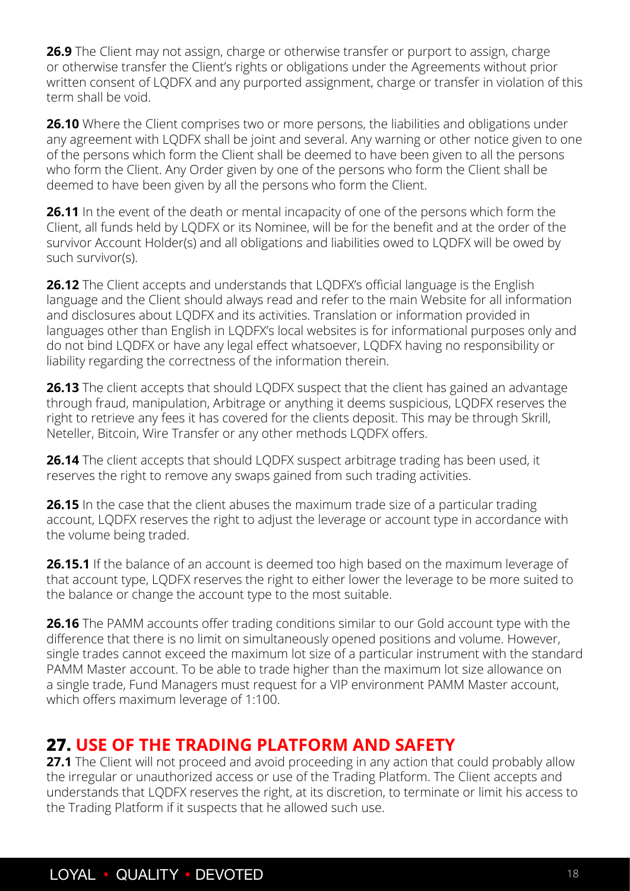<span id="page-17-0"></span>**26.9** The Client may not assign, charge or otherwise transfer or purport to assign, charge or otherwise transfer the Client's rights or obligations under the Agreements without prior written consent of LQDFX and any purported assignment, charge or transfer in violation of this term shall be void.

**26.10** Where the Client comprises two or more persons, the liabilities and obligations under any agreement with LQDFX shall be joint and several. Any warning or other notice given to one of the persons which form the Client shall be deemed to have been given to all the persons who form the Client. Any Order given by one of the persons who form the Client shall be deemed to have been given by all the persons who form the Client.

**26.11** In the event of the death or mental incapacity of one of the persons which form the Client, all funds held by LQDFX or its Nominee, will be for the benefit and at the order of the survivor Account Holder(s) and all obligations and liabilities owed to LQDFX will be owed by such survivor(s).

**26.12** The Client accepts and understands that LQDFX's official language is the English language and the Client should always read and refer to the main Website for all information and disclosures about LQDFX and its activities. Translation or information provided in languages other than English in LQDFX's local websites is for informational purposes only and do not bind LQDFX or have any legal effect whatsoever, LQDFX having no responsibility or liability regarding the correctness of the information therein.

**26.13** The client accepts that should LQDFX suspect that the client has gained an advantage through fraud, manipulation, Arbitrage or anything it deems suspicious, LQDFX reserves the right to retrieve any fees it has covered for the clients deposit. This may be through Skrill, Neteller, Bitcoin, Wire Transfer or any other methods LQDFX offers.

**26.14** The client accepts that should LQDFX suspect arbitrage trading has been used, it reserves the right to remove any swaps gained from such trading activities.

**26.15** In the case that the client abuses the maximum trade size of a particular trading account, LQDFX reserves the right to adjust the leverage or account type in accordance with the volume being traded.

**26.15.1** If the balance of an account is deemed too high based on the maximum leverage of that account type, LQDFX reserves the right to either lower the leverage to be more suited to the balance or change the account type to the most suitable.

**26.16** The PAMM accounts offer trading conditions similar to our Gold account type with the difference that there is no limit on simultaneously opened positions and volume. However, single trades cannot exceed the maximum lot size of a particular instrument with the standard PAMM Master account. To be able to trade higher than the maximum lot size allowance on a single trade, Fund Managers must request for a VIP environment PAMM Master account, which offers maximum leverage of 1:100.

## **27. USE OF THE TRADING PLATFORM AND SAFETY**

27.1 The Client will not proceed and avoid proceeding in any action that could probably allow the irregular or unauthorized access or use of the Trading Platform. The Client accepts and understands that LQDFX reserves the right, at its discretion, to terminate or limit his access to the Trading Platform if it suspects that he allowed such use.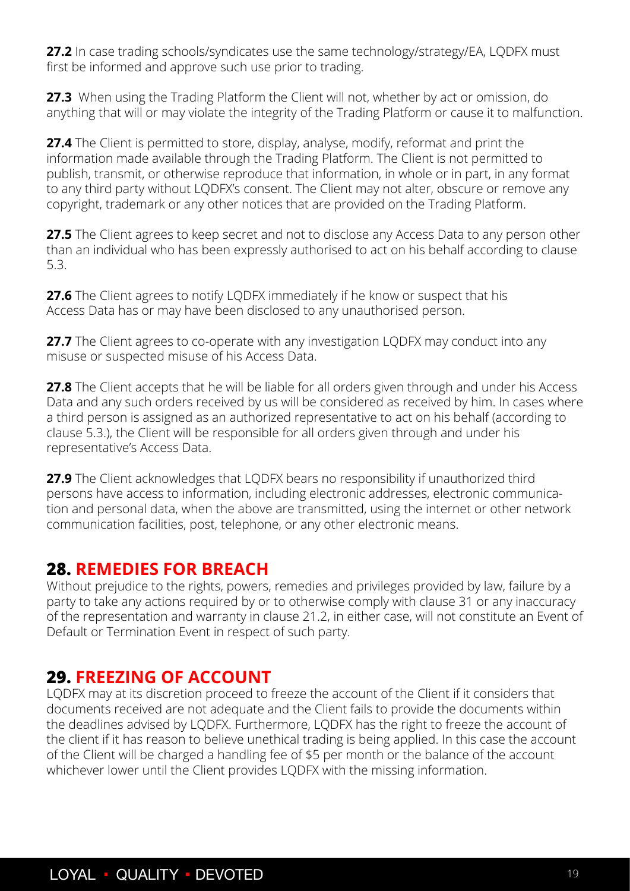<span id="page-18-0"></span>**27.2** In case trading schools/syndicates use the same technology/strategy/EA, LQDFX must first be informed and approve such use prior to trading.

27.3 When using the Trading Platform the Client will not, whether by act or omission, do anything that will or may violate the integrity of the Trading Platform or cause it to malfunction.

**27.4** The Client is permitted to store, display, analyse, modify, reformat and print the information made available through the Trading Platform. The Client is not permitted to publish, transmit, or otherwise reproduce that information, in whole or in part, in any format to any third party without LQDFX's consent. The Client may not alter, obscure or remove any copyright, trademark or any other notices that are provided on the Trading Platform.

**27.5** The Client agrees to keep secret and not to disclose any Access Data to any person other than an individual who has been expressly authorised to act on his behalf according to clause 5.3.

**27.6** The Client agrees to notify LODFX immediately if he know or suspect that his Access Data has or may have been disclosed to any unauthorised person.

**27.7** The Client agrees to co-operate with any investigation LODFX may conduct into any misuse or suspected misuse of his Access Data.

**27.8** The Client accepts that he will be liable for all orders given through and under his Access Data and any such orders received by us will be considered as received by him. In cases where a third person is assigned as an authorized representative to act on his behalf (according to clause 5.3.), the Client will be responsible for all orders given through and under his representative's Access Data.

**27.9** The Client acknowledges that LQDFX bears no responsibility if unauthorized third persons have access to information, including electronic addresses, electronic communication and personal data, when the above are transmitted, using the internet or other network communication facilities, post, telephone, or any other electronic means.

#### **28. REMEDIES FOR BREACH**

Without prejudice to the rights, powers, remedies and privileges provided by law, failure by a party to take any actions required by or to otherwise comply with clause 31 or any inaccuracy of the representation and warranty in clause 21.2, in either case, will not constitute an Event of Default or Termination Event in respect of such party.

## **29. FREEZING OF ACCOUNT**

LQDFX may at its discretion proceed to freeze the account of the Client if it considers that documents received are not adequate and the Client fails to provide the documents within the deadlines advised by LQDFX. Furthermore, LQDFX has the right to freeze the account of the client if it has reason to believe unethical trading is being applied. In this case the account of the Client will be charged a handling fee of \$5 per month or the balance of the account whichever lower until the Client provides LQDFX with the missing information.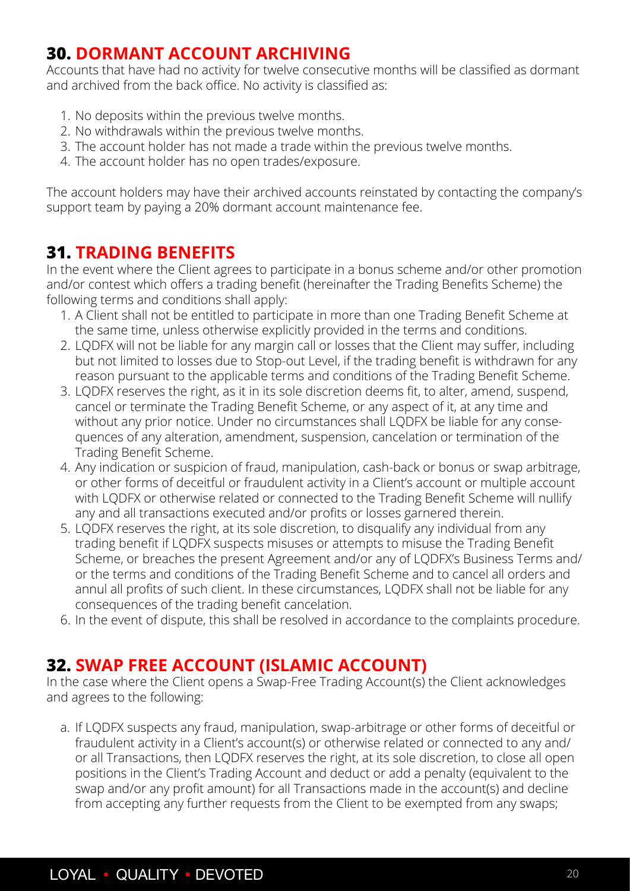## <span id="page-19-0"></span>**30. DORMANT ACCOUNT ARCHIVING**

Accounts that have had no activity for twelve consecutive months will be classified as dormant and archived from the back office. No activity is classified as:

- 1. No deposits within the previous twelve months.
- 2. No withdrawals within the previous twelve months.
- 3. The account holder has not made a trade within the previous twelve months.
- 4. The account holder has no open trades/exposure.

The account holders may have their archived accounts reinstated by contacting the company's support team by paying a 20% dormant account maintenance fee.

## **31. TRADING BENEFITS**

In the event where the Client agrees to participate in a bonus scheme and/or other promotion and/or contest which offers a trading benefit (hereinafter the Trading Benefits Scheme) the following terms and conditions shall apply:

- 1. A Client shall not be entitled to participate in more than one Trading Benefit Scheme at the same time, unless otherwise explicitly provided in the terms and conditions.
- 2. LQDFX will not be liable for any margin call or losses that the Client may suffer, including but not limited to losses due to Stop-out Level, if the trading benefit is withdrawn for any reason pursuant to the applicable terms and conditions of the Trading Benefit Scheme.
- 3. LQDFX reserves the right, as it in its sole discretion deems fit, to alter, amend, suspend, cancel or terminate the Trading Benefit Scheme, or any aspect of it, at any time and without any prior notice. Under no circumstances shall LQDFX be liable for any consequences of any alteration, amendment, suspension, cancelation or termination of the Trading Benefit Scheme.
- 4. Any indication or suspicion of fraud, manipulation, cash-back or bonus or swap arbitrage, or other forms of deceitful or fraudulent activity in a Client's account or multiple account with LQDFX or otherwise related or connected to the Trading Benefit Scheme will nullify any and all transactions executed and/or profits or losses garnered therein.
- 5. LQDFX reserves the right, at its sole discretion, to disqualify any individual from any trading benefit if LQDFX suspects misuses or attempts to misuse the Trading Benefit Scheme, or breaches the present Agreement and/or any of LQDFX's Business Terms and/ or the terms and conditions of the Trading Benefit Scheme and to cancel all orders and annul all profits of such client. In these circumstances, LQDFX shall not be liable for any consequences of the trading benefit cancelation.
- 6. In the event of dispute, this shall be resolved in accordance to the complaints procedure.

#### **32. SWAP FREE ACCOUNT (ISLAMIC ACCOUNT)**

In the case where the Client opens a Swap-Free Trading Account(s) the Client acknowledges and agrees to the following:

a. If LQDFX suspects any fraud, manipulation, swap-arbitrage or other forms of deceitful or fraudulent activity in a Client's account(s) or otherwise related or connected to any and/ or all Transactions, then LQDFX reserves the right, at its sole discretion, to close all open positions in the Client's Trading Account and deduct or add a penalty (equivalent to the swap and/or any profit amount) for all Transactions made in the account(s) and decline from accepting any further requests from the Client to be exempted from any swaps;